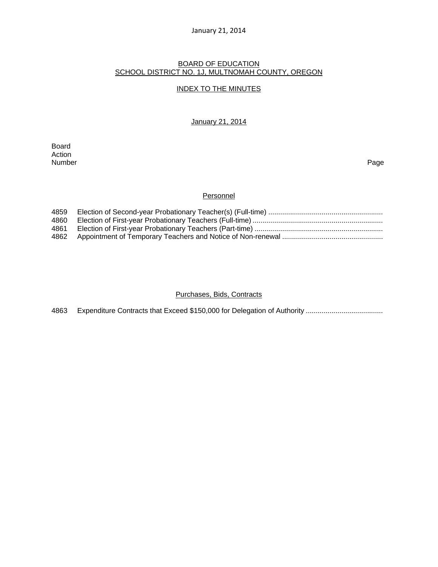#### January 21, 2014

#### BOARD OF EDUCATION SCHOOL DISTRICT NO. 1J, MULTNOMAH COUNTY, OREGON

#### INDEX TO THE MINUTES

January 21, 2014

Board Action<br>Number Number Page

### **Personnel**

| 4859 |  |
|------|--|
| 4860 |  |
| 4861 |  |
|      |  |

#### Purchases, Bids, Contracts

4863 Expenditure Contracts that Exceed \$150,000 for Delegation of Authority ..................................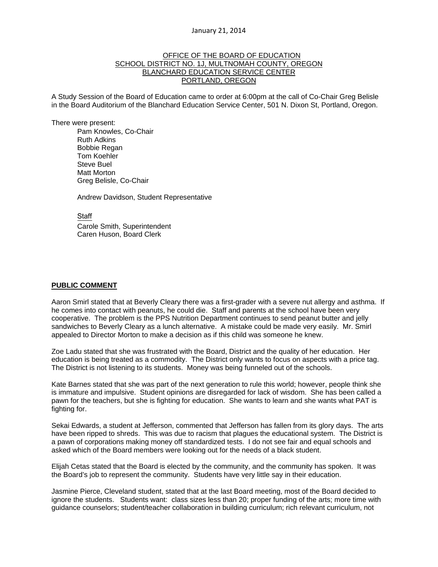#### January 21, 2014

### OFFICE OF THE BOARD OF EDUCATION SCHOOL DISTRICT NO. 1J, MULTNOMAH COUNTY, OREGON BLANCHARD EDUCATION SERVICE CENTER PORTLAND, OREGON

A Study Session of the Board of Education came to order at 6:00pm at the call of Co-Chair Greg Belisle in the Board Auditorium of the Blanchard Education Service Center, 501 N. Dixon St, Portland, Oregon.

There were present: Pam Knowles, Co-Chair Ruth Adkins Bobbie Regan Tom Koehler Steve Buel Matt Morton Greg Belisle, Co-Chair

Andrew Davidson, Student Representative

**Staff** 

 Carole Smith, Superintendent Caren Huson, Board Clerk

#### **PUBLIC COMMENT**

Aaron Smirl stated that at Beverly Cleary there was a first-grader with a severe nut allergy and asthma. If he comes into contact with peanuts, he could die. Staff and parents at the school have been very cooperative. The problem is the PPS Nutrition Department continues to send peanut butter and jelly sandwiches to Beverly Cleary as a lunch alternative. A mistake could be made very easily. Mr. Smirl appealed to Director Morton to make a decision as if this child was someone he knew.

Zoe Ladu stated that she was frustrated with the Board, District and the quality of her education. Her education is being treated as a commodity. The District only wants to focus on aspects with a price tag. The District is not listening to its students. Money was being funneled out of the schools.

Kate Barnes stated that she was part of the next generation to rule this world; however, people think she is immature and impulsive. Student opinions are disregarded for lack of wisdom. She has been called a pawn for the teachers, but she is fighting for education. She wants to learn and she wants what PAT is fighting for.

Sekai Edwards, a student at Jefferson, commented that Jefferson has fallen from its glory days. The arts have been ripped to shreds. This was due to racism that plagues the educational system. The District is a pawn of corporations making money off standardized tests. I do not see fair and equal schools and asked which of the Board members were looking out for the needs of a black student.

Elijah Cetas stated that the Board is elected by the community, and the community has spoken. It was the Board's job to represent the community. Students have very little say in their education.

Jasmine Pierce, Cleveland student, stated that at the last Board meeting, most of the Board decided to ignore the students. Students want: class sizes less than 20; proper funding of the arts; more time with guidance counselors; student/teacher collaboration in building curriculum; rich relevant curriculum, not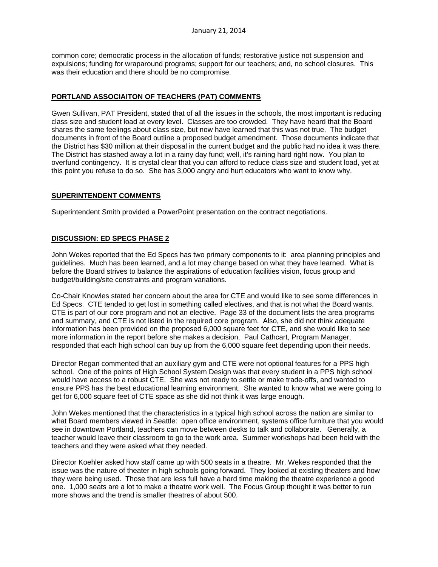common core; democratic process in the allocation of funds; restorative justice not suspension and expulsions; funding for wraparound programs; support for our teachers; and, no school closures. This was their education and there should be no compromise.

### **PORTLAND ASSOCIAITON OF TEACHERS (PAT) COMMENTS**

Gwen Sullivan, PAT President, stated that of all the issues in the schools, the most important is reducing class size and student load at every level. Classes are too crowded. They have heard that the Board shares the same feelings about class size, but now have learned that this was not true. The budget documents in front of the Board outline a proposed budget amendment. Those documents indicate that the District has \$30 million at their disposal in the current budget and the public had no idea it was there. The District has stashed away a lot in a rainy day fund; well, it's raining hard right now. You plan to overfund contingency. It is crystal clear that you can afford to reduce class size and student load, yet at this point you refuse to do so. She has 3,000 angry and hurt educators who want to know why.

### **SUPERINTENDENT COMMENTS**

Superintendent Smith provided a PowerPoint presentation on the contract negotiations.

### **DISCUSSION: ED SPECS PHASE 2**

John Wekes reported that the Ed Specs has two primary components to it: area planning principles and guidelines. Much has been learned, and a lot may change based on what they have learned. What is before the Board strives to balance the aspirations of education facilities vision, focus group and budget/building/site constraints and program variations.

Co-Chair Knowles stated her concern about the area for CTE and would like to see some differences in Ed Specs. CTE tended to get lost in something called electives, and that is not what the Board wants. CTE is part of our core program and not an elective. Page 33 of the document lists the area programs and summary, and CTE is not listed in the required core program. Also, she did not think adequate information has been provided on the proposed 6,000 square feet for CTE, and she would like to see more information in the report before she makes a decision. Paul Cathcart, Program Manager, responded that each high school can buy up from the 6,000 square feet depending upon their needs.

Director Regan commented that an auxiliary gym and CTE were not optional features for a PPS high school. One of the points of High School System Design was that every student in a PPS high school would have access to a robust CTE. She was not ready to settle or make trade-offs, and wanted to ensure PPS has the best educational learning environment. She wanted to know what we were going to get for 6,000 square feet of CTE space as she did not think it was large enough.

John Wekes mentioned that the characteristics in a typical high school across the nation are similar to what Board members viewed in Seattle: open office environment, systems office furniture that you would see in downtown Portland, teachers can move between desks to talk and collaborate. Generally, a teacher would leave their classroom to go to the work area. Summer workshops had been held with the teachers and they were asked what they needed.

Director Koehler asked how staff came up with 500 seats in a theatre. Mr. Wekes responded that the issue was the nature of theater in high schools going forward. They looked at existing theaters and how they were being used. Those that are less full have a hard time making the theatre experience a good one. 1,000 seats are a lot to make a theatre work well. The Focus Group thought it was better to run more shows and the trend is smaller theatres of about 500.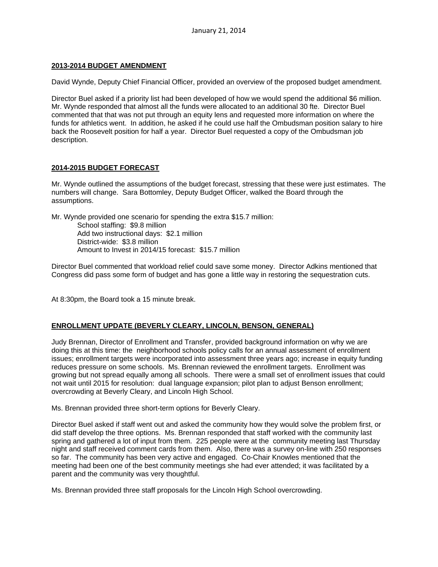### **2013-2014 BUDGET AMENDMENT**

David Wynde, Deputy Chief Financial Officer, provided an overview of the proposed budget amendment.

Director Buel asked if a priority list had been developed of how we would spend the additional \$6 million. Mr. Wynde responded that almost all the funds were allocated to an additional 30 fte. Director Buel commented that that was not put through an equity lens and requested more information on where the funds for athletics went. In addition, he asked if he could use half the Ombudsman position salary to hire back the Roosevelt position for half a year. Director Buel requested a copy of the Ombudsman job description.

### **2014-2015 BUDGET FORECAST**

Mr. Wynde outlined the assumptions of the budget forecast, stressing that these were just estimates. The numbers will change. Sara Bottomley, Deputy Budget Officer, walked the Board through the assumptions.

Mr. Wynde provided one scenario for spending the extra \$15.7 million:

School staffing: \$9.8 million Add two instructional days: \$2.1 million District-wide: \$3.8 million Amount to Invest in 2014/15 forecast: \$15.7 million

Director Buel commented that workload relief could save some money. Director Adkins mentioned that Congress did pass some form of budget and has gone a little way in restoring the sequestration cuts.

At 8:30pm, the Board took a 15 minute break.

#### **ENROLLMENT UPDATE (BEVERLY CLEARY, LINCOLN, BENSON, GENERAL)**

Judy Brennan, Director of Enrollment and Transfer, provided background information on why we are doing this at this time: the neighborhood schools policy calls for an annual assessment of enrollment issues; enrollment targets were incorporated into assessment three years ago; increase in equity funding reduces pressure on some schools. Ms. Brennan reviewed the enrollment targets. Enrollment was growing but not spread equally among all schools. There were a small set of enrollment issues that could not wait until 2015 for resolution: dual language expansion; pilot plan to adjust Benson enrollment; overcrowding at Beverly Cleary, and Lincoln High School.

Ms. Brennan provided three short-term options for Beverly Cleary.

Director Buel asked if staff went out and asked the community how they would solve the problem first, or did staff develop the three options. Ms. Brennan responded that staff worked with the community last spring and gathered a lot of input from them. 225 people were at the community meeting last Thursday night and staff received comment cards from them. Also, there was a survey on-line with 250 responses so far. The community has been very active and engaged. Co-Chair Knowles mentioned that the meeting had been one of the best community meetings she had ever attended; it was facilitated by a parent and the community was very thoughtful.

Ms. Brennan provided three staff proposals for the Lincoln High School overcrowding.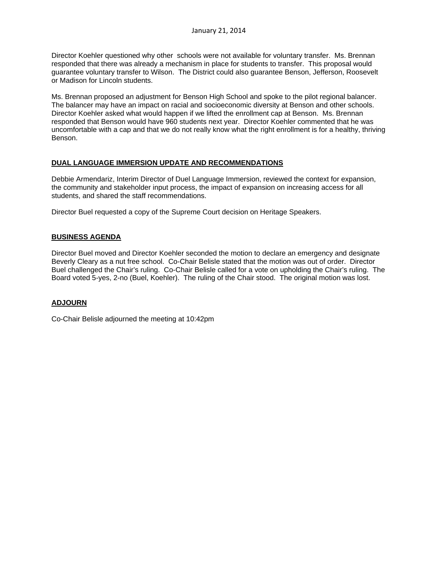Director Koehler questioned why other schools were not available for voluntary transfer. Ms. Brennan responded that there was already a mechanism in place for students to transfer. This proposal would guarantee voluntary transfer to Wilson. The District could also guarantee Benson, Jefferson, Roosevelt or Madison for Lincoln students.

Ms. Brennan proposed an adjustment for Benson High School and spoke to the pilot regional balancer. The balancer may have an impact on racial and socioeconomic diversity at Benson and other schools. Director Koehler asked what would happen if we lifted the enrollment cap at Benson. Ms. Brennan responded that Benson would have 960 students next year. Director Koehler commented that he was uncomfortable with a cap and that we do not really know what the right enrollment is for a healthy, thriving Benson.

# **DUAL LANGUAGE IMMERSION UPDATE AND RECOMMENDATIONS**

Debbie Armendariz, Interim Director of Duel Language Immersion, reviewed the context for expansion, the community and stakeholder input process, the impact of expansion on increasing access for all students, and shared the staff recommendations.

Director Buel requested a copy of the Supreme Court decision on Heritage Speakers.

# **BUSINESS AGENDA**

Director Buel moved and Director Koehler seconded the motion to declare an emergency and designate Beverly Cleary as a nut free school. Co-Chair Belisle stated that the motion was out of order. Director Buel challenged the Chair's ruling. Co-Chair Belisle called for a vote on upholding the Chair's ruling. The Board voted 5-yes, 2-no (Buel, Koehler). The ruling of the Chair stood. The original motion was lost.

# **ADJOURN**

Co-Chair Belisle adjourned the meeting at 10:42pm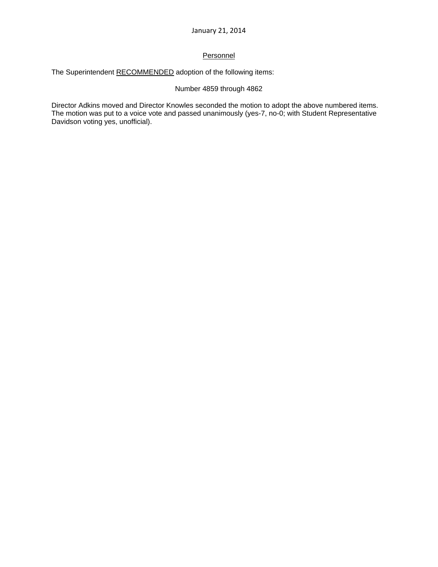# **Personnel**

The Superintendent RECOMMENDED adoption of the following items:

# Number 4859 through 4862

Director Adkins moved and Director Knowles seconded the motion to adopt the above numbered items. The motion was put to a voice vote and passed unanimously (yes-7, no-0; with Student Representative Davidson voting yes, unofficial).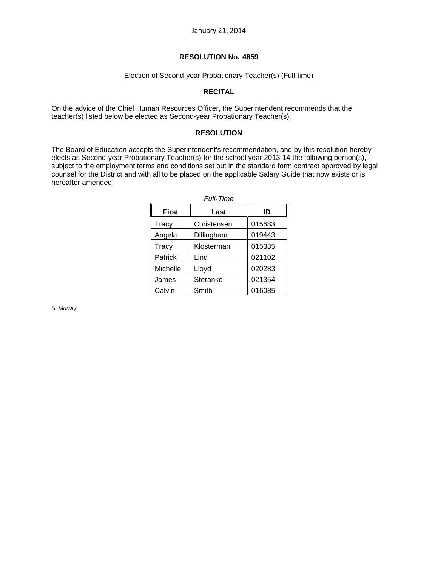#### Election of Second-year Probationary Teacher(s) (Full-time)

# **RECITAL**

On the advice of the Chief Human Resources Officer, the Superintendent recommends that the teacher(s) listed below be elected as Second-year Probationary Teacher(s).

### **RESOLUTION**

The Board of Education accepts the Superintendent's recommendation, and by this resolution hereby elects as Second-year Probationary Teacher(s) for the school year 2013-14 the following person(s), subject to the employment terms and conditions set out in the standard form contract approved by legal counsel for the District and with all to be placed on the applicable Salary Guide that now exists or is hereafter amended:

| <b>First</b> | Last        | ID     |  |  |
|--------------|-------------|--------|--|--|
| Tracy        | Christensen | 015633 |  |  |
| Angela       | Dillingham  | 019443 |  |  |
| Tracy        | Klosterman  | 015335 |  |  |
| Patrick      | Lind        | 021102 |  |  |
| Michelle     | Lloyd       | 020283 |  |  |
| James        | Steranko    | 021354 |  |  |
| Calvin       | Smith       | 016085 |  |  |

*Full-Time* 

*S. Murray*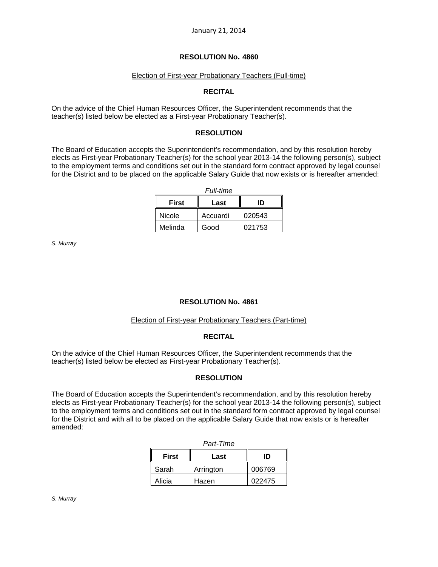### Election of First-year Probationary Teachers (Full-time)

# **RECITAL**

On the advice of the Chief Human Resources Officer, the Superintendent recommends that the teacher(s) listed below be elected as a First-year Probationary Teacher(s).

### **RESOLUTION**

The Board of Education accepts the Superintendent's recommendation, and by this resolution hereby elects as First-year Probationary Teacher(s) for the school year 2013-14 the following person(s), subject to the employment terms and conditions set out in the standard form contract approved by legal counsel for the District and to be placed on the applicable Salary Guide that now exists or is hereafter amended:

| <b>Full-time</b> |          |        |  |  |
|------------------|----------|--------|--|--|
| <b>First</b>     | Last     | ID     |  |  |
| Nicole           | Accuardi | 020543 |  |  |
| Melinda          | Good     | 021753 |  |  |

*S. Murray* 

# **RESOLUTION No. 4861**

### Election of First-year Probationary Teachers (Part-time)

#### **RECITAL**

On the advice of the Chief Human Resources Officer, the Superintendent recommends that the teacher(s) listed below be elected as First-year Probationary Teacher(s).

# **RESOLUTION**

The Board of Education accepts the Superintendent's recommendation, and by this resolution hereby elects as First-year Probationary Teacher(s) for the school year 2013-14 the following person(s), subject to the employment terms and conditions set out in the standard form contract approved by legal counsel for the District and with all to be placed on the applicable Salary Guide that now exists or is hereafter amended:

| Part-Time    |           |        |  |  |
|--------------|-----------|--------|--|--|
| <b>First</b> | Last      | חו     |  |  |
| Sarah        | Arrington | 006769 |  |  |
| Alicia       | Hazen     | 022475 |  |  |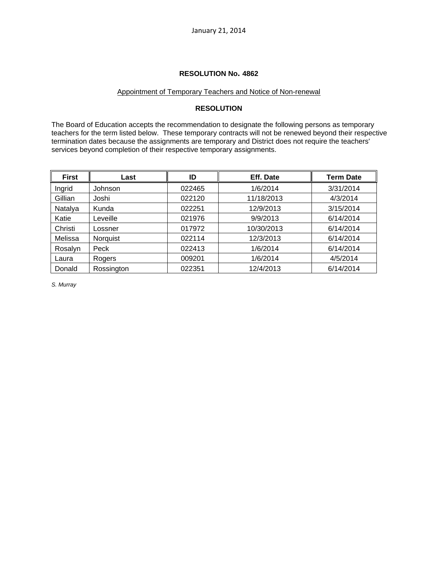#### Appointment of Temporary Teachers and Notice of Non-renewal

### **RESOLUTION**

The Board of Education accepts the recommendation to designate the following persons as temporary teachers for the term listed below. These temporary contracts will not be renewed beyond their respective termination dates because the assignments are temporary and District does not require the teachers' services beyond completion of their respective temporary assignments.

| <b>First</b> | Last       | ID     | Eff. Date  | <b>Term Date</b> |
|--------------|------------|--------|------------|------------------|
| Ingrid       | Johnson    | 022465 | 1/6/2014   | 3/31/2014        |
| Gillian      | Joshi      | 022120 | 11/18/2013 | 4/3/2014         |
| Natalya      | Kunda      | 022251 | 12/9/2013  | 3/15/2014        |
| Katie        | Leveille   | 021976 | 9/9/2013   | 6/14/2014        |
| Christi      | Lossner    | 017972 | 10/30/2013 | 6/14/2014        |
| Melissa      | Norquist   | 022114 | 12/3/2013  | 6/14/2014        |
| Rosalyn      | Peck       | 022413 | 1/6/2014   | 6/14/2014        |
| Laura        | Rogers     | 009201 | 1/6/2014   | 4/5/2014         |
| Donald       | Rossington | 022351 | 12/4/2013  | 6/14/2014        |

*S. Murray*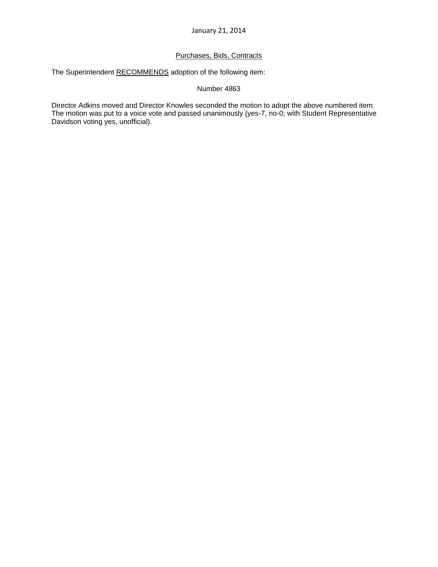# Purchases, Bids, Contracts

The Superintendent RECOMMENDS adoption of the following item:

### Number 4863

Director Adkins moved and Director Knowles seconded the motion to adopt the above numbered item. The motion was put to a voice vote and passed unanimously (yes-7, no-0; with Student Representative Davidson voting yes, unofficial).